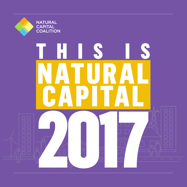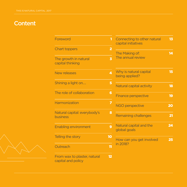# **Content**

| Foreword                                           | 1                       | Connecting to other natural<br>capital initiatives | 13 <sup>5</sup> |
|----------------------------------------------------|-------------------------|----------------------------------------------------|-----------------|
| <b>Chart toppers</b>                               | $\overline{2}$          | The Making of:                                     | 14              |
| The growth in natural<br>capital thinking          | $\overline{\mathbf{3}}$ | The annual review                                  |                 |
| New releases                                       | 4                       | Why is natural capital<br>being applied?           | 15              |
| Shining a light on                                 | 5                       | Natural capital activity                           | 18              |
| The role of collaboration                          | $6\phantom{a}$          | <b>Finance perspective</b>                         | 19              |
| Harmonization                                      | $\overline{z}$          | <b>NGO perspective</b>                             | 20              |
| Natural capital: everybody's<br>business           | 8                       | <b>Remaining challenges</b>                        | 21              |
| <b>Enabling environment</b>                        | 9                       | Natural capital and the<br>global goals            | 24              |
| Telling the story                                  | 10                      | How can you get involved                           | 25              |
| Outreach                                           | 11                      | in 2018?                                           |                 |
| From wax to plaster, natural<br>capital and policy | $12 \overline{ }$       |                                                    |                 |

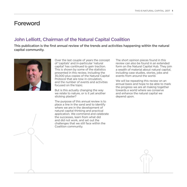### Foreword

### John Lelliott, Chairman of the Natural Capital Coalition

This publication is the first annual review of the trends and activities happening within the natural capital community.



Over the last couple of years the concept of 'capitals' and in-particular 'natural capital' has continued to gain traction. This is shown by some of the statistics presented in this review, including the 35,000 plus copies of the Natural Capital Protocol that are now in circulation, and the number of events and activities focused on the topic.

But is this actually changing the way we relate to nature, or is it yet another sticking plaster?

The purpose of this annual review is to place a line in the sand and to identify where we are in the development of natural capital thinking and practical application. We commend and celebrate the successes, learn from what did and did not work, and set out the challenges that we still face within the Coalition community.

The short opinion pieces found in this review can also be found in an extended form on the Natural Capital Hub. They join a wealth of material about natural capital, including case studies, stories, jobs and events from around the world.

We will be repeating this review on an annual basis and hope to be able to mark the progress we are all making together towards a world where we conserve and enhance the natural capital we depend upon.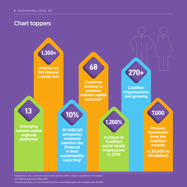# Chart toppers



1 Organizations who coordinate natural capital activities within a region, supported by the Coalition. 2 See WBCSD Reporting Matters 2017.

<sup>3</sup> Countries who have an environmental-economic accounting programme compliant with UN-SEEA.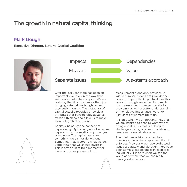# The growth in natural capital thinking

### Mark Gough

Executive Director, Natural Capital Coalition





Over the last year there has been an important evolution in the way that we think about natural capital. We are realizing that it is much more than just bringing externalities to light as we previously thought. The metaphor of capital actually provides three clear attributes that considerably advance existing thinking and allow us to make more integrated decisions.

Capitals introduce the concept of dependency. By thinking about what we depend upon our relationship changes completely. The capital becomes something we cannot do without. Something that is core to what we do. Something that we should invest in. This is often a light bulb moment for many of the people we talk to.

Measurement alone only provides us with a number. It does not provide the context. Capital thinking introduces this context through valuation. It connects the measurement to us personally, by providing us with a better understanding of the relative importance, worth or usefulness of something to us.

It is only when we understand this, that we are inspired to change what we are doing and it is this that is helping to challenge existing business models and create more sustainable ones.

The third new attribute of capitals thinking is the systems approach that it enforces. Previously we have addressed issues separately and although there have been some great advances in each area individually, it is only when we see the world as a whole that we can really make great advances.

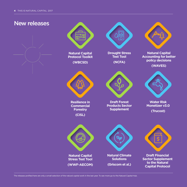



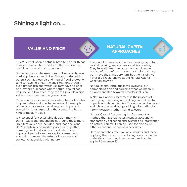# Shining a light on….

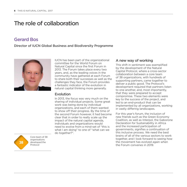# The role of collaboration

### Gerard Bos

#### Director of IUCN Global Business and Biodiversity Programme



IUCN has been part of the organizational committee for the World Forum on Natural Capital since the first Forum in 2013. The Forum takes place every two years, and, as the leading voices in the community have gathered at each Forum to share both their successes as well as the challenges they face, the Forum provides a fantastic indicator of the evolution in natural capital thinking more generally.

#### Evolution

In 2013, the focus was very much on the sharing of individual projects. Some great work was being done by individual organizations, and each of them wanted to show off their progress. By the time of the second Forum however, it had become clear that in order to really scale up the impact of the natural capital agenda, individuals and organizations would need to evolve from a mind-set of "this is what I am doing" to one of "what can we do together?".

#### A new way of working

This shift in sentiment was exemplified by the development of the Natural Capital Protocol, where a cross-sector collaboration between a core team of 38 organizations, with hundreds of supporting partners, came together to deliver a public good. The Protocol's development required that partners listen to one another, and, most importantly, that they were prepared to accept compromise. These two elements were key to the success of the project, and led to an end-product that can be implemented by all organizations, working in vastly differing landscapes.

For this year's forum, the inclusion of new friends such as the Green Economy Coalition, as well as Interpol, the Gaborone Declaration for Sustainability in Africa and the increased participation of governments, signifies a continuation of this inclusive process. We need the best brains of all of the various sectors to work together, and I look forward to seeing how the movement has evolved again when the Forum convenes in 2019.



Core team of 38 organisations developed the Protocol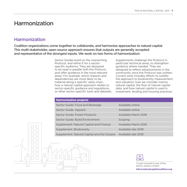### Harmonization

### **Harmonization**

Coalition organizations come together to collaborate, and harmonize approaches to natural capital. This multi-stakeholder, open source approach ensures that outputs are generally accepted and representative of the strongest inputs. We work on two forms of harmonization:

> Sector Guides build on the overarching Protocol, and refine it for a sectorspecific audience. They are designed to be read in parallel with the Protocol, and offer guidance in the most relevant areas. For example, which impacts and dependencies are most likely to be material along a specific value chain, how a natural capital approach relates to sector-specific guidance and regulations, or other sector-specific tools and datasets.

Supplements challenge the Protocol in particular technical areas, to strengthen guidance where needed. They are designed to reflect advancements in the community since the Protocol was written. Current work includes efforts to solidify the approach to biodiversity measurement and valuation, how we consider marine natural capital, the flow of natural capital data, and how natural capital is used in investment, lending and insuring practices.

#### **Harmonization projects**

 $\Box$ nnnn

| Sector Guide: Food and Beverage            | Available online     |
|--------------------------------------------|----------------------|
| Sector Guide: Apparel                      | Available online     |
| Sector Guide: Forest Products              | Available March 2018 |
| Sector Guide: Build Environment            | Scoping              |
| Supplement: Natural Capital and Finance    | Available March 2018 |
| Supplement: Biodiversity                   | Available late 2019  |
| Supplement: Natural Capital and the Oceans | Available late 2019  |



To get involved in any of the above, please contact

info@naturalcapitalcoalition.org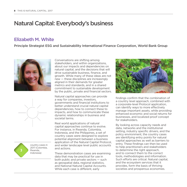# Natural Capital: Everybody's business

### Elizabeth M. White

Principle Strategist ESG and Sustainability International Finance Corporation, World Bank Group





**3**

country cases in 2017 (Colombia, Rwanda, Indonesia)

Conversations are shifting among stakeholders, and within organizations, about our impacts and dependencies on natural capital, and the decisions that will drive sustainable business, finance, and growth. While many of these ideas are not new — these disciplines are increasingly aligned in their demands for greater metrics and standards, and in a shared commitment to sustainable development by the public, private and financial sectors.

Natural capital approaches can provide a way for companies, investors, governments and financial institutions to better understand crucial natural capital dependencies, how to connect these to impacts, and how to communicate these dynamic relationships in business and societal terms.

Real world applications of natural capital approaches continue to evolve. For instance, in Rwanda, Colombia, Indonesia, and the Philippines, a set of country cases were designed to explore potential alignment between a business application of the Natural Capital Protocol, and wider landscape level public accounts and actions.

These demonstration cases are examining data that may be practical for use in both public and private sectors — such as geospatial data, regional statistics, and National Natural Capital Accounts. While each case is different, early



findings confirm that the combination of a country level approach, combined with a corporate-level Protocol application, can identify ways to more effectively manage important assets, while providing enhanced economic and social returns for businesses, and localized proof concept for stakeholders.

By looking across capacity needs and data, networks and the institutional setting, industry specific drivers, and the policy environment, the country cases are identifying entry points for natural capital approaches as well as barriers to entry. These findings can then be used to help practitioners and stakeholders to determine the right approach, and to connect them to the correct tools, methodologies and information. Such efforts are critical. Natural capital, and the ecosystem services that it provides, form the basis of thriving societies and prosperous economies.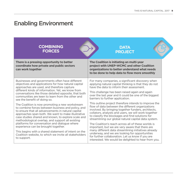# Enabling Environment

| <b>COMBINING</b>                                                                                                                                                                                                      | <b>DATA</b>                                                                                                                                                                                                                                                                                                                  |
|-----------------------------------------------------------------------------------------------------------------------------------------------------------------------------------------------------------------------|------------------------------------------------------------------------------------------------------------------------------------------------------------------------------------------------------------------------------------------------------------------------------------------------------------------------------|
| <b>FORCES</b>                                                                                                                                                                                                         | <b>PROJECT</b>                                                                                                                                                                                                                                                                                                               |
| There is a pressing opportunity to better<br>coordinate how private and public sectors<br>can work together                                                                                                           | The Coalition is initiating an multi-year<br>project with UNEP-WCMC and other Coalition<br>organizations to better understand what needs<br>to be done to help data to flow more smoothly                                                                                                                                    |
| Businesses and governments often have different                                                                                                                                                                       | For many companies, a significant discovery when                                                                                                                                                                                                                                                                             |
| objectives and applications for how natural capital                                                                                                                                                                   | applying natural capital thinking is that they do not                                                                                                                                                                                                                                                                        |
| approaches are used, and therefore capture                                                                                                                                                                            | have the data to inform their assessment.                                                                                                                                                                                                                                                                                    |
| different kinds of information. Yet, we know from<br>conversations like those detailed opposite, that both<br>communities are keen to learn from the other and<br>see the benefit of doing so.                        | This challenge has been raised again and again<br>over the last year and it could be one of the biggest<br>barriers to further application.                                                                                                                                                                                  |
| The Coalition is now promoting a new workstream                                                                                                                                                                       | This outline project therefore intends to improve the                                                                                                                                                                                                                                                                        |
| to combine forces between business and policy, and                                                                                                                                                                    | flow of data between the different organizations                                                                                                                                                                                                                                                                             |
| to ensure that all advancements in natural capital                                                                                                                                                                    | involved. By bringing together funders, architects,                                                                                                                                                                                                                                                                          |
| approaches span both. We want to make illustrative                                                                                                                                                                    | collators, analysts and users, we will work together                                                                                                                                                                                                                                                                         |
| case studies shared and known, to explore scale and                                                                                                                                                                   | to classify the blockages and find solutions for                                                                                                                                                                                                                                                                             |
| methodological overlap, and support all existing                                                                                                                                                                      | streamlining our global natural capital data system.                                                                                                                                                                                                                                                                         |
| platforms for conversation and dialogue where<br>experience can be brought together.<br>This begins with a shared statement of intent on the<br>Coalition website, to which we invite all stakeholders<br>to support. | The Coalition's reach across all of these worlds is<br>important, but we are very aware that there are<br>many different data streamlining initiatives already<br>underway, and we are looking for opportunities<br>for further collaboration. Let us know if you are<br>interested. We would be delighted to hear from you. |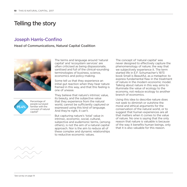# Telling the story

### Joseph Harris-Confino

#### Head of Communications, Natural Capital Coalition



Percentage of people surveyed familiar with the concept of natural capital\* **95.4%**

The terms and language around 'natural capital' and 'ecosystem services' are often criticised as being dispassionate, sanitised and full of the clinical-sounding terminologies of business, science, economics and policy-making.

Some tell us that they experience an initial gut reaction when they hear nature framed in this way, and that this feeling is one of unease.

They believe that nature's intrinsic value, its beauty, and the subjective value that they experience from the natural world, cannot be sufficiently captured or expressed using this kind of language. And they're right, it can't.

But capturing nature's 'total' value in intrinsic, economic, social, cultural, subjective and eudemonic terms, (among others), is not the aim of a natural capital approach. Nor is the aim to reduce all of these complex and dynamic relationships to reductive economic values.

The concept of 'natural capital' was never designed to effectively capture the phenomenology of nature; the way that we subjectively experience it. The term started life in E.F. Schumacher's 1973 book Small is Beautiful, as a metaphor, to express fundamental flaw in the treatment of nature in the modern economic model. Talking about nature in this way aims to illuminate the value of ecology to the economy, not reduce ecology to another branch of economics.

Using this idea to describe nature does not seek to diminish or outshine the moral and ethical arguments for the conservation of the natural world, or to suggest that human experiences are all that matters when it comes to the value of nature. No one is saying that the only reason that nature is valuable is because of the way it benefits human beings, only that it is also valuable for this reason.

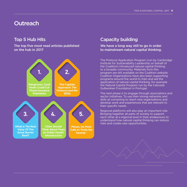### **Outreach**

### Top 5 Hub Hits

#### The top five most read articles published on the hub in 2017



### Capacity building

We have a long way still to go in order to mainstream natural capital thinking.

The Protocol Application Program (run by Cambridge Institute for Sustainability Leadership on behalf of the Coalition) introduced natural capital thinking to a broader community. Materials from this program are still available on the Coalition website. Coalition Organizations have also been supporting programs around the world to train and aid the application of natural capital thinking, for example the Natural Capital Program run by the Calouste Gulbenkian Foundation in Portugal.

The next phase is to engage through associations and sector initiatives. To use their strong networks and skills at convening to reach new organizations and develop work and experiences that are relevant to their specific needs.

Regional platforms will also play an important role. Bringing together all parts of society to support each other at a regional level in their endeavours to understand how natural capital thinking can reduce risks and create new opportunities.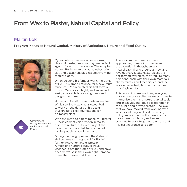# From Wax to Plaster, Natural Capital and Policy

### Martin Lok

Program Manager, Natural Capital, Ministry of Agriculture, Nature and Food Quality



My favorite natural resources are wax, clay and plaster, because they are perfect agents for artistic innovation. The sculptor August Rodin knew this as no other. Wax, clay and plaster enabled his creative mind to fully bloom.

When creating his famous work, the Gates of Hell - his grand entrance for a new Paris' museum - Rodin created his first form out of wax. Wax is soft, highly malleable and easily adaptable to evolving ideas and designs over time.

His second iteration was made from clay. While soft like wax, clay allowed Rodin to work on the details of his design, thus creating clear foundations for his masterpiece.

Government dialogue on natural capital launched in 2017 **GD**

With the move to a third medium – plaster - Rodin cements his creation in reality, first in miniature, but eventually at the monumental scale that has continued to inspire people around the world.

During the design process, the Gates of Hell became a springboard for Rodin's further innovation and expression. Almost one hundred statues have 'escaped' from the Gates of Hell, and have become works in their own right - among them The Thinker and The Kiss.

This exploration of mediums and approaches, mirrors in some sense the evolution in thought around natural capital, and around all new and revolutionary ideas. Masterpieces are not formed overnight, they require many iterations, each with their own materials, characteristics and techniques, and the work is never truly finished, or confined to a single entity.

This lesson inspires me in my everyday work on natural capital. As we continue to harmonize the many natural capital tools and initiatives, and drive collaboration in the public and private sectors, I believe that we have moved from working with wax to sculpting in clay. An enabling policy environment will accelerate the move towards plaster, and we must continue to work together to ensure that it is cast in bronze, and soon.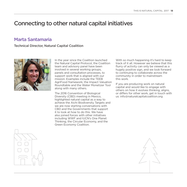# Connecting to other natural capital initiatives

### Marta Santamaria

#### Technical Director, Natural Capital Coalition



In the year since the Coalition launched the Natural Capital Protocol, the Coalition team and advisory panel have been involved in several working groups, panels and consultation processes, to support work that is aligned with our mission. Examples include the TEEB AgriFood framework; the Impact Valuation Roundtable and the Water Monetizer Tool along with many others.

The 2016 Convention of Biological Diversity (CBD) meeting in Mexico, highlighted natural capital as a way to achieve the Aichi Biodiversity Targets and we are now starting conversations with CBD and the Governments that support it to look at how to do this. We have also joined forces with other initiatives including WWF and IUCN's One Planet Thinking, the Circular Economy, and the Green Economy Coalition.

With so much happening it's hard to keep track of it all. However we believe that this flurry of activity can only be viewed as a hugely positive sign, and we look forward to continuing to collaborate across the community in order to mainstream this work.

If you are producing work on natural capital and would like to engage with others on how it evolves thinking, aligns, or differs for other work, get in touch with us: info@naturalcapitalcoalition.org.



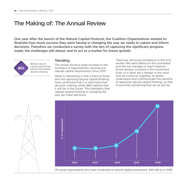# The Making of: The Annual Review

One year after the launch of the Natural Capital Protocol, the Coalition Organizations wanted to illustrate how much success they were having in changing the way we relate to nature and inform decisions. Therefore we conducted a survey with the aim of capturing the significant progress made, the challenges still ahead, and to act as a marker for future growth.



#### **Trending**

The review found a large increase in the numbers of organisations carrying out natural capital assessments since 2013.

What is interesting is that a third of those who are applying natural capital thinking have confirmed that it is informing their decision making, whilst 86% believe that it will do in the future. This highlights that natural capital thinking is changing the way we make decisions.

There are obviously limitations in this first review. We were talking to the converted and did not manage to reach beyond those already involved in the movement. Even so it does set a marker in the sand and we continue, together, to better understand and communicate the benefits of applying natural capital thinking, so that it becomes something that we all just do.

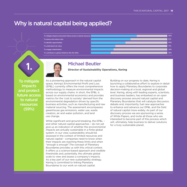### Why is natural capital being applied?

| 59% |
|-----|
| 51% |
| 45% |
| 31% |
| 29% |
| 26% |
|     |





#### Michael Beutler

**Director of Sustainability Operations, Kering**

To mitigate impacts and protect future access to natural resources (59%)

As a pioneering approach in the natural capital space, Kering's Environmental Profit and Loss (EP&L) currently offers the most comprehensive methodology to measure environmental impacts across our supply chains. In short, the EP&L is based on environmental economics and provides metrics for the 'cost to society' derived from the environmental degradation driven by specific business activities, such as manufacturing and raw material sourcing. The assessment encompasses greenhouse gas emissions, water use, waste creation, air and water pollution, and land use change.

While significant and ground breaking, the EP&L – and other natural capital approaches – do not yet give us an indication of whether the environmental impacts are actually sustainable in a finite global system. In our view, sustainability should be assessed in the context of limited resources and natural capital – companies need to know when their impacts are reaching these limits and when "enough is enough".The concept of Planetary Boundaries provides us with this critical context. It offers us a science-based approach and credible thresholds and, potentially, the ultimate global scale to view and assess a company's impacts. As a key part of our new sustainability strategy, Kering is committed to linking Planetary Boundaries to our work on natural capital.

Building on our progress to date, Kering is launching a collaborative effort to explore in detail how to apply Planetary Boundaries to corporate decision-making at a local, regional and global level. Kering, along with leading experts, scientists, and business leaders, has embarked on an open discovery process around natural capital and Planetary Boundaries that will catalyze discussion, debate and, importantly, fuel new approaches to enhance and advance our EP&L and the field of natural capital more widely. As part of our discovery process we are sponsoring a series of White Papers, and invite all those who are interested to become part of this process which will, ultimately, help business to deliver solutions for a truly sustainable planet.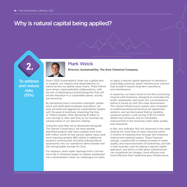# Why is natural capital being applied?





#### Mark Weick

**Director, Sustainability, The Dow Chemical Company**

To address and reduce risks (51%)

Dow's 2025 Sustainability Goals use a global lens to magnify our impacts and dependencies on nature across our global value chains. These efforts have driven unprecedented collaborations, with the aim of developing societal blueprints that will aid the transition to a sustainable planet, society and economy.

By harnessing Dow's innovation strengths, global reach and dedicated employee population, we have set bold and aggressive sustainability targets, with the goal of positively impacting the lives of 1 billion people, while delivering \$1 billion in cost savings or new cash flow to our business by valuing nature in our decision making.

Using the tools that we've developed alongside The Nature Conservancy, we have already identified projects that have created more than \$40 million worth of real natural capital value (and we're tracking another \$60 million in additional projects), proving that including Valuing Nature approaches into our operations demonstrates real and recognizable savings for Dow.

For instance, when water drainage from a former mine site in Arkansas began to release wastewater into a downstream creek, we challenged our team

to apply a natural capital approach to develop a sustainable, practical, green infrastructure solution that wouldn't require long-term operations and maintenance.

In response, our team chose to line the connecting channel with limestone, designed to neutralize the acidic wastewater, and lower zinc concentrations, before it joined up with the creek downstream. This natural infrastructure system was compared to traditional physical/chemical pH adjustment systems, and we discovered that by installing a passive system, a real saving of \$1-3.5 million dollars was achieved, and an immediate improvement in the receiving creek water quality was measured.

In fact, eco-indicator fish not observed in the creek channel for more than 10 years returned within 3 months of initiating flow through the limestone channel and wetland system. These financial savings, coupled with a marked increase in water quality, and improved levels of biodiversity, provide a clear business case for taking a natural capital approach, and show us that green infrastructure can sometimes be cheaper, more efficient and more effective than traditional grey infrastructure.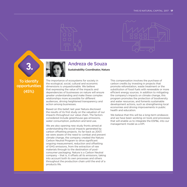



### To identify opportunities (45%)

**3.**



### Andreza de Souza

**Sustainability Coordinator, Natura** 

The importance of ecosystems for society in the ecological, social, cultural and economic dimensions is unquestionable. We believe that expressing the value of the impacts and dependencies of businesses on nature will ensure greater understanding and make these complex relationships more accessible for different audiences, driving heightened transparency and action among businesses.

Based on this belief, last year Natura disclosed the results of its first study on the valuation of our impacts throughout our value chain. The factors considered include greenhouse gas emissions, water consumption, pollution and land use.

We are also opening new study fronts aimed at understanding the social impacts generated by carbon offsetting projects. As far back as 2007, we were aware of the need to combat and prevent climate change, the company created the Natura Carbon Neutral Program to drive significant ongoing measurement, reduction and offsetting of GHG emissions, from the extraction of raw materials through to the destination of postconsumer packaging. Natura is a Carbon Neutral company – that is, it offsets all its emissions, taking into account both its own processes and others throughout the production chain until the end of a products life.

This compensation involves the purchase of carbon credits by investing in projects that promote reforestation, waste treatment or the substitution of fossil fuels with renewable or more efficient energy sources. In addition to mitigating the company's impacts on climate change, this program promotes the protection of biodiversity and water resources, and foments sustainable development actions, such as strengthening local economies and driving improvements in public health and education.

We believe that this will be a long-term endeavor, and we have been working on tools and processes that will enable us to integrate the ESP&L into our management model as a KPI.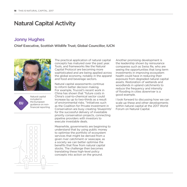# Natural Capital Activity

### Jonny Hughes

#### Chief Executive, Scottish Wildlife Trust; Global Councillor, IUCN







The practical application of natural capital concepts has matured over the past year. Tools, and frameworks like the Natural Capital Protocol are becoming more sophisticated and are being applied across the global economy, notably in the apparel and food and beverage sectors.

Natural capital assessments continue to inform better decision making. For example, Trucost's recent work in China has shown that "future costs in China's coal-to-chemical sector could increase by up to two-thirds as a result of environmental risks. "Initiatives such as the Coalition for Private Investment in Conservation are busy creating 'blueprints' for the successful delivery of investable priority conservation projects, connecting pipeline providers with investors to execute investable deals.

Meanwhile, governments are beginning to understand that by using public money to optimise the portfolio of ecosystem services that might be derived from a given river catchment or seascape, as a society we can better optimise the benefits that flow from natural capital stocks. The challenge then becomes translating these high-level policy concepts into action on the ground.

Another promising development is the leadership shown by reinsurance companies such as Swiss Re, who are seeing the opportunities that long term investments in improving ecosystem health could have in reducing their exposure from degraded natural capital assets. Restoration of wetlands and woodlands in upland catchments to reduce the frequency and intensity of flooding in cities downriver is a good example.

I look forward to discussing how we can scale up these and other developments within natural capital at the 2017 World Forum on Natural Capital.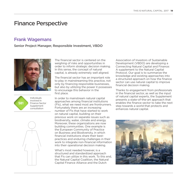# Finance Perspective

### Frank Wagemans

#### Senior Project Manager, Responsible Investment, VBDO





Individuals involved in Finance Sector Supplement consultation



The financial sector is centered on the weighing of risks and opportunities in order to inform strategic decision making. In this sense, the concept of natural capital, is already extremely well aligned.

The financial sector has an important role to play in mainstreaming this practice, not only by financing responsible businesses, but also by utilizing the power it possesses to encourage this behavior in the first place.

In order to mainstream natural capital approaches among financial institutions (FIs), what we need most are frontrunners. Fortunately there are an increasing number of FIs that have started to work on natural capital, building on their previous work on separate issues such as biodiversity, water, climate and energy. Moreover, these organizations are now building communities. One example is the European Community of Practice on Business and Biodiversity, in which financial institutions share their bestpractices and enduring challenges in their work to integrate non-financial information into their operational decision making.

What's most needed however, is a structured and standardized approach that FIs can utilize in this work. To this end, the Natural Capital Coalition, the Natural Capital Finance Alliance and the Dutch

Association of Investors of Sustainable Development (VBDO) are developing a Connecting Natural Capital and Finance: A supplement to the Natural Capital Protocol. Our goal is to summarize the knowledge and existing approaches into a structured approach on how the finance sector can use natural capital to improve financial decision making.

Thanks to engagement from professionals in the financial sector, as well as the input of natural capital experts, the Supplement presents a state-of-the-art approach that enables the finance sector to take the next step towards a world that protects and enhances natural capital.

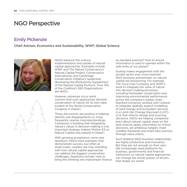### NGO Perspective

#### Emily Mckenzie

#### Chief Adviser, Economics and Sustainability, WWF, Global Science



NGOs advance the science, implementation and uptake of natural capital approaches. Examples include WWF and The Nature Conservancy's Natural Capital Project, Conservation International, and Cambridge Conservation Initiative's leadership developing the Biodiversity Supplement of the Natural Capital Protocol. Over 15% of the Coalition's 260 Organizations are NGOs.

However, advances occur amid concern that such approaches diminish conservation of nature for its own sake, evident at the World Conservation Congress in Hawai'i.

These discussions are positive in helping identify real disagreements or, more frequently, resolve misunderstandings. Consensus is building that integrating nature's values in decision-making is one important strategy. Indeed, Motion 63 on Natural Capital was passed in Hawai'i.

With growing acceptance, come new questions. NGOs have examples that demonstrate success, but often at small scales. Leaders are now wrestling with how natural capital approaches can address the biggest conservation challenges. Questions include: How to bring this thinking into mainstream finance

as standard practice? How to ensure information is used to operate within the safe limits of our planet?

Scaling makes engagement with the private sector ever more essential. NGO-business partnerships on natural capital are blossoming. For example, The Coca-Cola Company and WWF's work to integrate the value of nature into decision-making processes, including freshwater conservation and improving environmental performance across the company's supply chain. Stanford University worked with Unilever to integrate spatially explicit modelling of land change and ecosystem services in a Land-Use Change Improved (LUCI)- LCA that informs design and sourcing decisions. NGOs are helping companies learn about natural capital, draw on the best science, apply information to critical decisions, set ambitious targets, meet credible standards and share best practice through value chains.

Such bilateral NGO-business relationships are highly productive and innovative. But they are not enough on their own. We increasingly need platforms for business, governments and financial institutions so natural capital approaches can change the whole system of drivers that shape our world.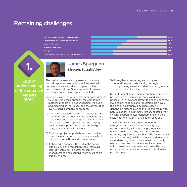29% 29% 34% 40% 46% 60%

## Remaining challenges

Lack of understanding about the potential benefits Perception that it is complex and/or technical

Institutional inertia

lack of data and inputs

Skills gap

Focus on single issues like 'climate', 'energy' and 'water'



### James Spurgeon

**Director, SustainValue**

Lack of understanding of the potential benefits (60%)

**1.**

The business case for companies to undertake natural capital assessments is multifaceted, with numerous drivers, application opportunities and potential returns. Some examples from my experience supporting companies include:

- 1) Better insight through exploratory assessments to understand the approach, the company's material impacts and dependencies, the scale and meaning of the values, and the advantages over existing company approaches.
- 2) Improved decision-making in prioritising and optimising environmental management for site operations and landholdings; in selecting more sustainable CAPEX options; and in justifying environmental protection expenditure (e.g. using shadow prices for water).
- 3) Enriched project appraisals and net positive assessments – to inform appropriate levels of mitigation, offsetting and compensation.
- 4) Enhanced resilience through anticipating supply, price and regulation risks; informing strategy; influencing better catchment management; and securing more sustainable supply chains.

5) Strengthened reporting and company reputation – for sustainability through incorporating values and demonstrating overall creation of stakeholder value.

Natural Capital Assessments can thereby reduce risks and costs; increase revenues and share price; drive innovation; attract talent and enhance stakeholder relations and reputation. However, the size of a company's business case will depend on factors such as their relationship with natural capital (e.g. primary, tertiary sector); their existing environmental management; and their sustainability strategy (e.g. leader, follower).

The business case will only continue to strengthen as drivers further intensify (e.g. resource scarcity, climate change, regulations, environmental markets, peer pressure, and reporting requirements such as DJSI's new impact valuation section). Whilst there is a business case for undertaking assessments, what is still really needed is a correction of market incentives to fully internalise environmental externalities (e.g. reward environmental improvements and make polluters pay).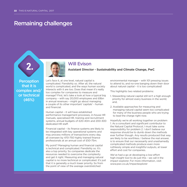### Remaining challenges

**2.**



#### Will Evison

**Assistant Director - Sustainability and Climate Change, PwC**

**Perception** that it is complex and/ or technical (46%)

Let's face it, at one level, natural capital is complicated. Fiendishly so. After all, the natural world is complicated, and the ways human society interacts with it are too. Does that mean it's really too complex for companies to measure and manage? First, let's take a look at how a typical big company – with say 20,000 employees and £8bn in annual revenues – might go about managing a couple of its other important 'capitals' - human and financial.

Human capital – it will have established performance management processes, in-house HR manuals, specialised HR, training and recruitment systems, annual budgets of £20-40m and 200-300 dedicated HR staff.

Financial capital – its finance systems are likely to be integrated with key operational systems and may process millions of transactions every day, all overseen by 470-750 highly trained finance professionals at an annual cost of £50-75m.

My point? Managing human and financial capital is technical and complicated. Fiendishly so. It's also a top priority. So companies dedicate the resources needed to overcome the complexity and get it right. Measuring and managing natural capital is no more technical or complicated. It's just that it is generally a much lower priority. So from the point of view of the average overstretched

environmental manager – with 101 pressing issues to attend to, and no-one banging down their door about natural capital – it is too complicated!

This highlights two related problems:

- 1. Stewarding natural capital still isn't a high enough priority for almost every business in the world; and,
- 2. Available approaches for measuring and managing natural capital seem too complicated for many of the business people who are trying to lead the charge right now.

Hopefully we're all working together on problem 1. As a consultant and significant contributor to the Natural Capital Protocol, I must take some responsibility for problem 2. I don't believe our response should be to dumb down the methods ever further though. Any results produced that way are likely to be worthless. I believe the real answer, is to ensure that our necessarily and unashamedly complicated methods produce even more ruthlessly simple and insightful outputs, at lower effort and cost for companies.

We've had a go at developing a low-effort high-insight tool to do just this - we call it the impact explorer. For more information, visit: www.pwc.co.uk/impactexplorer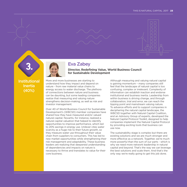



# Eva Zabey

**Director, Redefining Value, World Business Council for Sustainable Development**

Institutional Inertia (40%)

More and more businesses are starting to understand how they impact and depend on nature - from raw material value chains to energy access to water discharge. The plethora of connections between nature and business can be daunting, but some leading companies realize that measuring and valuing nature strengthens decision-making, as well as risk and investor management.

Over 40 of World Business Council for Sustainable Development's (WBCSD) member companies have shared how they have measured and/or valued natural capital. Novartis, for instance, realized a natural capital valuation that helped to identify opportunities to improve performance, which led to 20% savings in energy use. Unilever cites water scarcity as a huge risk to their future growth, so they measure water use throughout their value chain from suppliers to consumers. This has led to new market opportunities while strengthening their risk management and adaptability. These business leaders are realizing that deepened understanding of dependencies and impacts on nature is necessary to thrive and translates to value for their core business.

Although measuring and valuing natural capital is gaining momentum – many companies still feel that the landscape of natural capital is too confusing, complex or irrelevant. Complexity of information can establish inaction and endorse institutional and business inertia. Leadership from within business is driving change, and through collaboration, trial and error, we can reach the tipping point and mainstream valuing nature. To advance efforts and to support companies in deciphering the natural capital landscape, the WBCSD together with Natural Capital Coalition, and an Advisory Group of experts, developed the Natural Capital Protocol Toolkit, designed to help companies implement the Natural Capital Protocol by providing exciting tools that business can use now.

The sustainability stage is complex but there are existing solutions and we are much stronger and more effective as a network. Together, we're much more powerful than the sum of our parts - which is why we need more network leadership in natural capital and beyond. That's the way we can leverage the best solutions and scale them. And that's the only way we're really going to get this job done.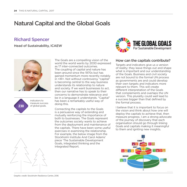# Natural Capital and the Global Goals

#### Richard Spencer

Head of Sustainability, ICAEW



indicators to measure success 230 of global goals.

The Goals are a compelling vision of the world the world wants by 2030 expressed as 17 inter-connected outcomes. The coupling of capital and nature has been around since the 1970s but has gained momentum more recently notably in <IR>. Not without controversy "capital" is becoming central to the way business understands its relationship to nature and society. If we want businesses to act, then our narrative has to speak to their concerns to demonstrate relevance and be in a language it understands. "Capital" has been a remarkably useful way of doing this.

Connecting the capitals to the Goals is a persuasive way of extending and mutually reinforcing the importance of both to businesses. The Goals represent the outcomes society wants to achieve from the deployment and maintenance of the capitals. There have been some useful exercises in examining the relationship. For example, the below image from the Stockholm Institute And Carol Adams' piece 'The Sustainable Development Goals, integrated thinking and the Integrated Report.



#### How can the capitals contribute?

Targets and indicators give us a version of reality; they leave things out and shape what is important and our understanding of the Goals. Business and civil society are not bound to the formal UN process as governments are and could develop their own targets and indicators more relevant to them. This will create different interpretation of the Goals that complements and overlaps the UN version. This plurality could well lead to a success bigger than that defined by the formal process.

I believe that it is important to focus on the vision and think about how one will deploy the capitals to achieve that, then measure progress. I am a strong advocate of the journey of discovery that each organisation should go through linking Goals and capitals making it meaningful to them and igniting new insights.





Graphic credit: Stockholm Resilience Centre, 2016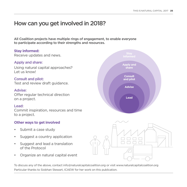# How can you get involved in 2018?

All Coalition projects have multiple rings of engagement, to enable everyone to participate according to their strengths and resources.

#### **Stay informed:**

Receive updates and news.

#### Apply and share:

Using natural capital approaches? Let us know!

Consult and pilot: Test and review draft guidance.

#### Advise:

Offer regular technical direction on a project.

#### Lead:

Commit inspiration, resources and time to a project.

#### **Other ways to get involved**

- Submit a case study
- Suggest a country application
- Suggest and lead a translation of the Protocol
- Organize an natural capital event

To discuss any of the above, contact info@naturalcapitalcoalition.org or visit www.naturalcapitalcoalition.org Particular thanks to Siobhan Stewart, ICAEW for her work on this publication.